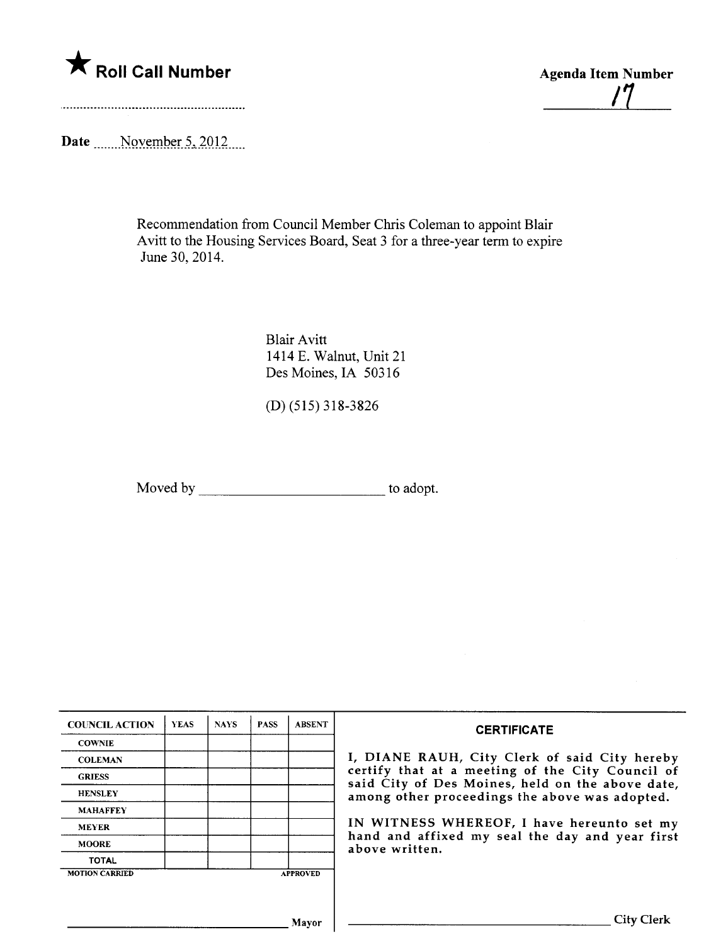

/7

Date \_\_\_\_\_ November 5, 2012 \_\_\_

Recommendation from Council Member Chris Coleman to appoint Blair A vitt to the Housing Services Board, Seat 3 for a three-year term to expire June 30, 2014.

> Blair Avitt 1414 E. Walnut, Unit 21 Des Moines, IA 50316

(D) (515) 318-3826

Moved by the state of the state of the state of the state of the state of the state of the state of the state of the state of the state of the state of the state of the state of the state of the state of the state of the s

| <b>COUNCIL ACTION</b> | <b>YEAS</b> | <b>NAYS</b> | <b>PASS</b> | <b>ABSENT</b>   |                                                                                                                                                                                                                                                                                                                                                  |
|-----------------------|-------------|-------------|-------------|-----------------|--------------------------------------------------------------------------------------------------------------------------------------------------------------------------------------------------------------------------------------------------------------------------------------------------------------------------------------------------|
| <b>COWNIE</b>         |             |             |             |                 | <b>CERTIFICATE</b><br>I, DIANE RAUH, City Clerk of said City hereby<br>certify that at a meeting of the City Council of<br>said City of Des Moines, held on the above date,<br>among other proceedings the above was adopted.<br>IN WITNESS WHEREOF, I have hereunto set my<br>hand and affixed my seal the day and year first<br>above written. |
| <b>COLEMAN</b>        |             |             |             |                 |                                                                                                                                                                                                                                                                                                                                                  |
| <b>GRIESS</b>         |             |             |             |                 |                                                                                                                                                                                                                                                                                                                                                  |
| <b>HENSLEY</b>        |             |             |             |                 |                                                                                                                                                                                                                                                                                                                                                  |
| <b>MAHAFFEY</b>       |             |             |             |                 |                                                                                                                                                                                                                                                                                                                                                  |
| <b>MEYER</b>          |             |             |             |                 |                                                                                                                                                                                                                                                                                                                                                  |
| <b>MOORE</b>          |             |             |             |                 |                                                                                                                                                                                                                                                                                                                                                  |
| <b>TOTAL</b>          |             |             |             |                 |                                                                                                                                                                                                                                                                                                                                                  |
| <b>MOTION CARRIED</b> |             |             |             | <b>APPROVED</b> |                                                                                                                                                                                                                                                                                                                                                  |
|                       |             |             |             |                 |                                                                                                                                                                                                                                                                                                                                                  |
|                       | Mayor       |             |             |                 | City Clerk                                                                                                                                                                                                                                                                                                                                       |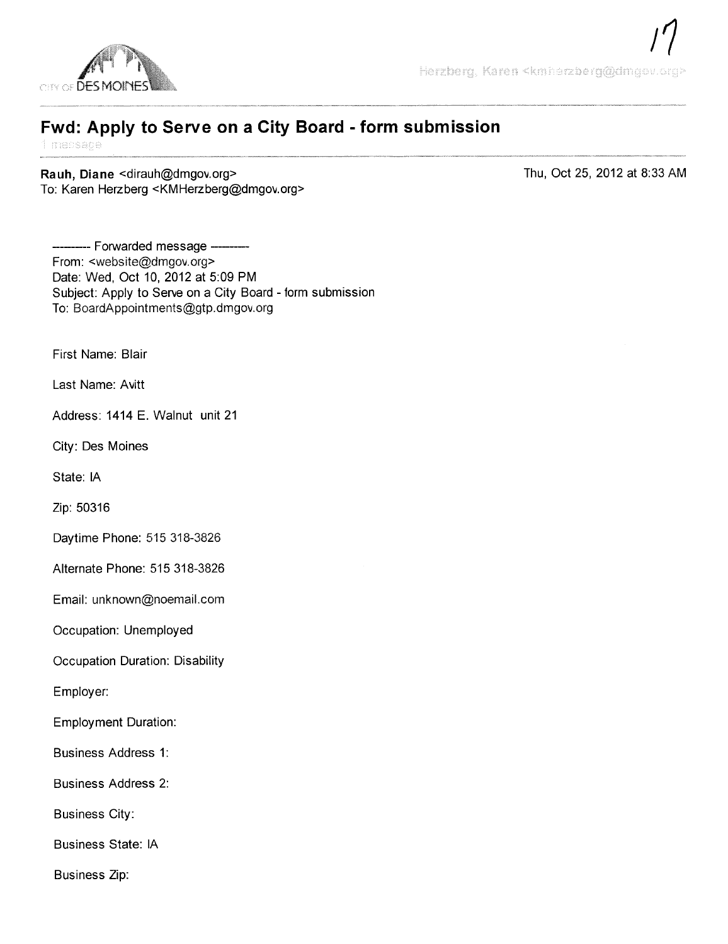

## Fwd: Apply to Serve on a City Board - form submission

Rauh, Diane < dirauh@dmgov.org> To: Karen Herzberg <KMHerzberg@dmgov.org> Thu, Oct 25, 2012 at 8:33 AM

---- Forwarded message ---From: <website@dmgov.org> Date: Wed, Oct 10, 2012 at 5:09 PM Subject: Apply to Serve on a City Board - form submission To: BoardAppointments@gtp.dmgov.org

First Name: Blair

Last Name: Avitt

Address: 1414 E. Walnut unit 21

City: Des Moines

State: IA

Zip: 50316

Daytime Phone: 515 318-3826

Alternate Phone: 515318-3826

Email: unknown@noemail.com

Occupation: Unemployed

Occupation Duration: Disability

Employer:

Employment Duration:

Business Address 1:

Business Address 2:

Business City:

Business State: IA

Business Zip: